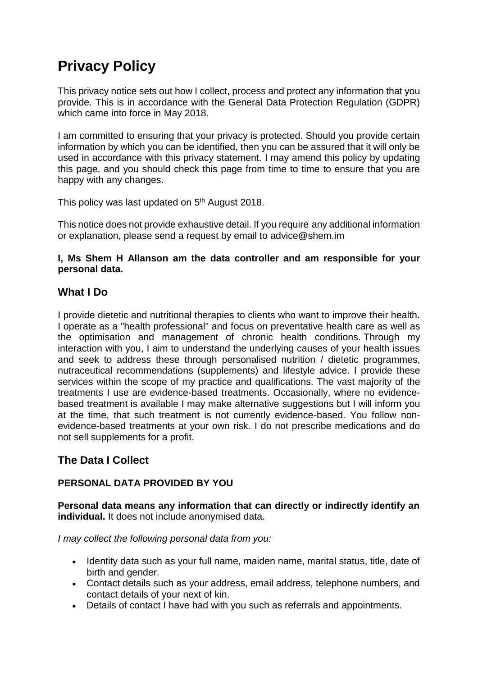# **Privacy Policy**

This privacy notice sets out how I collect, process and protect any information that you provide. This is in accordance with the General Data Protection Regulation (GDPR) which came into force in May 2018.

I am committed to ensuring that your privacy is protected. Should you provide certain information by which you can be identified, then you can be assured that it will only be used in accordance with this privacy statement. I may amend this policy by updating this page, and you should check this page from time to time to ensure that you are happy with any changes.

This policy was last updated on 5<sup>th</sup> August 2018.

This notice does not provide exhaustive detail. If you require any additional information or explanation, please send a request by email to advice@shem.im

#### **I, Ms Shem H Allanson am the data controller and am responsible for your personal data.**

## **What I Do**

I provide dietetic and nutritional therapies to clients who want to improve their health. I operate as a "health professional" and focus on preventative health care as well as the optimisation and management of chronic health conditions. Through my interaction with you, I aim to understand the underlying causes of your health issues and seek to address these through personalised nutrition / dietetic programmes, nutraceutical recommendations (supplements) and lifestyle advice. I provide these services within the scope of my practice and qualifications. The vast majority of the treatments I use are evidence-based treatments. Occasionally, where no evidencebased treatment is available I may make alternative suggestions but I will inform you at the time, that such treatment is not currently evidence-based. You follow nonevidence-based treatments at your own risk. I do not prescribe medications and do not sell supplements for a profit.

# **The Data I Collect**

## **PERSONAL DATA PROVIDED BY YOU**

**Personal data means any information that can directly or indirectly identify an individual.** It does not include anonymised data.

*I may collect the following personal data from you:*

- Identity data such as your full name, maiden name, marital status, title, date of birth and gender.
- Contact details such as your address, email address, telephone numbers, and contact details of your next of kin.
- Details of contact I have had with you such as referrals and appointments.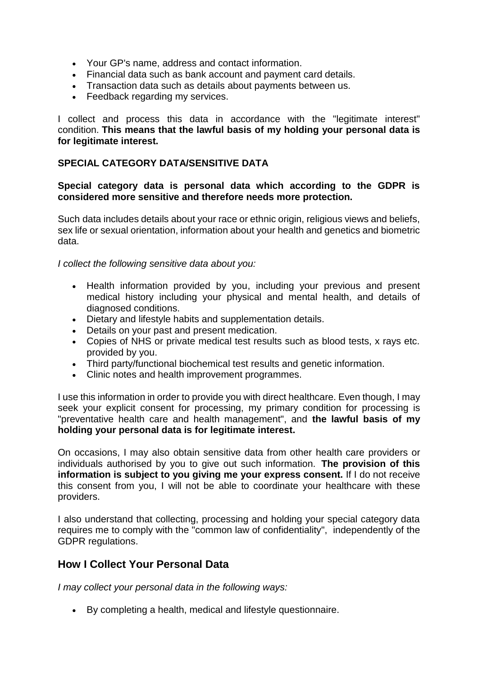- Your GP's name, address and contact information.
- Financial data such as bank account and payment card details.
- Transaction data such as details about payments between us.
- Feedback regarding my services.

I collect and process this data in accordance with the "legitimate interest" condition. **This means that the lawful basis of my holding your personal data is for legitimate interest.**

#### **SPECIAL CATEGORY DATA/SENSITIVE DATA**

#### **Special category data is personal data which according to the GDPR is considered more sensitive and therefore needs more protection.**

Such data includes details about your race or ethnic origin, religious views and beliefs, sex life or sexual orientation, information about your health and genetics and biometric data.

*I collect the following sensitive data about you:*

- Health information provided by you, including your previous and present medical history including your physical and mental health, and details of diagnosed conditions.
- Dietary and lifestyle habits and supplementation details.
- Details on your past and present medication.
- Copies of NHS or private medical test results such as blood tests, x rays etc. provided by you.
- Third party/functional biochemical test results and genetic information.
- Clinic notes and health improvement programmes.

I use this information in order to provide you with direct healthcare. Even though, I may seek your explicit consent for processing, my primary condition for processing is "preventative health care and health management", and **the lawful basis of my holding your personal data is for legitimate interest.**

On occasions, I may also obtain sensitive data from other health care providers or individuals authorised by you to give out such information. **The provision of this information is subject to you giving me your express consent.** If I do not receive this consent from you, I will not be able to coordinate your healthcare with these providers.

I also understand that collecting, processing and holding your special category data requires me to comply with the "common law of confidentiality", independently of the GDPR regulations.

## **How I Collect Your Personal Data**

*I may collect your personal data in the following ways:*

By completing a health, medical and lifestyle questionnaire.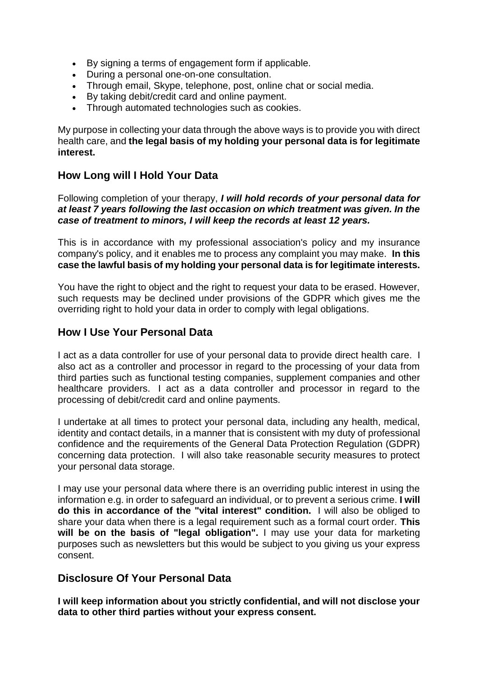- By signing a terms of engagement form if applicable.
- During a personal one-on-one consultation.
- Through email, Skype, telephone, post, online chat or social media.
- By taking debit/credit card and online payment.
- Through automated technologies such as cookies.

My purpose in collecting your data through the above ways is to provide you with direct health care, and **the legal basis of my holding your personal data is for legitimate interest.**

## **How Long will I Hold Your Data**

Following completion of your therapy, *I will hold records of your personal data for at least 7 years following the last occasion on which treatment was given. In the case of treatment to minors, I will keep the records at least 12 years.*

This is in accordance with my professional association's policy and my insurance company's policy, and it enables me to process any complaint you may make. **In this case the lawful basis of my holding your personal data is for legitimate interests.**

You have the right to object and the right to request your data to be erased. However, such requests may be declined under provisions of the GDPR which gives me the overriding right to hold your data in order to comply with legal obligations.

## **How I Use Your Personal Data**

I act as a data controller for use of your personal data to provide direct health care. I also act as a controller and processor in regard to the processing of your data from third parties such as functional testing companies, supplement companies and other healthcare providers. I act as a data controller and processor in regard to the processing of debit/credit card and online payments.

I undertake at all times to protect your personal data, including any health, medical, identity and contact details, in a manner that is consistent with my duty of professional confidence and the requirements of the General Data Protection Regulation (GDPR) concerning data protection. I will also take reasonable security measures to protect your personal data storage.

I may use your personal data where there is an overriding public interest in using the information e.g. in order to safeguard an individual, or to prevent a serious crime. **I will do this in accordance of the "vital interest" condition.** I will also be obliged to share your data when there is a legal requirement such as a formal court order. **This will be on the basis of "legal obligation".** I may use your data for marketing purposes such as newsletters but this would be subject to you giving us your express consent.

## **Disclosure Of Your Personal Data**

**I will keep information about you strictly confidential, and will not disclose your data to other third parties without your express consent.**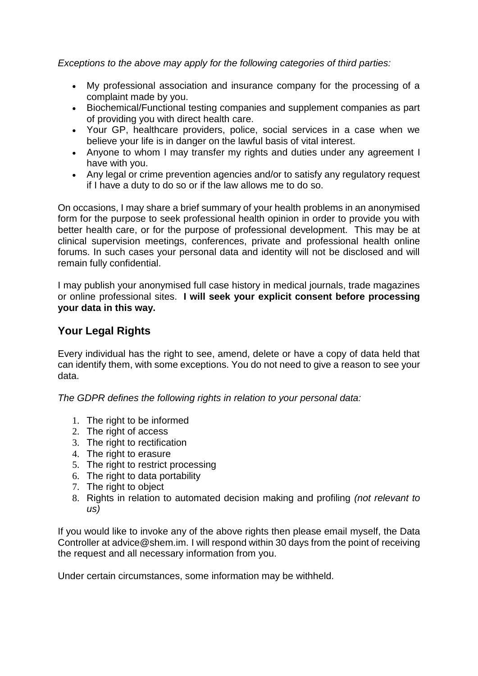*Exceptions to the above may apply for the following categories of third parties:*

- My professional association and insurance company for the processing of a complaint made by you.
- Biochemical/Functional testing companies and supplement companies as part of providing you with direct health care.
- Your GP, healthcare providers, police, social services in a case when we believe your life is in danger on the lawful basis of vital interest.
- Anyone to whom I may transfer my rights and duties under any agreement I have with you.
- Any legal or crime prevention agencies and/or to satisfy any regulatory request if I have a duty to do so or if the law allows me to do so.

On occasions, I may share a brief summary of your health problems in an anonymised form for the purpose to seek professional health opinion in order to provide you with better health care, or for the purpose of professional development. This may be at clinical supervision meetings, conferences, private and professional health online forums. In such cases your personal data and identity will not be disclosed and will remain fully confidential.

I may publish your anonymised full case history in medical journals, trade magazines or online professional sites. **I will seek your explicit consent before processing your data in this way.**

## **Your Legal Rights**

Every individual has the right to see, amend, delete or have a copy of data held that can identify them, with some exceptions. You do not need to give a reason to see your data.

*The GDPR defines the following rights in relation to your personal data:*

- 1. The right to be informed
- 2. The right of access
- 3. The right to rectification
- 4. The right to erasure
- 5. The right to restrict processing
- 6. The right to data portability
- 7. The right to object
- 8. Rights in relation to automated decision making and profiling *(not relevant to us)*

If you would like to invoke any of the above rights then please email myself, the Data Controller at advice@shem.im. I will respond within 30 days from the point of receiving the request and all necessary information from you.

Under certain circumstances, some information may be withheld.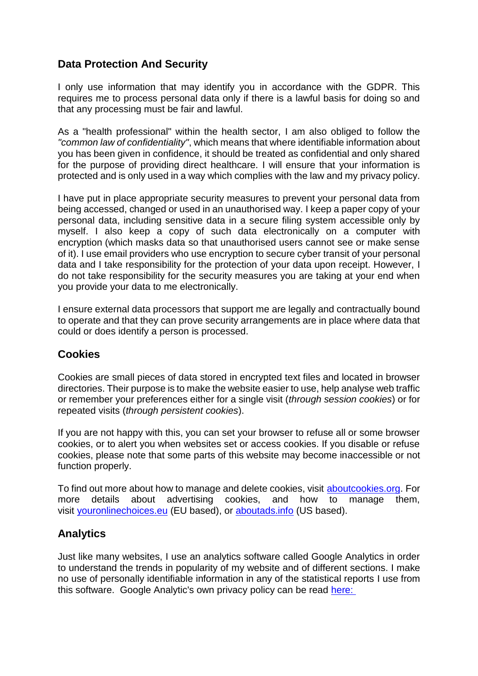## **Data Protection And Security**

I only use information that may identify you in accordance with the GDPR. This requires me to process personal data only if there is a lawful basis for doing so and that any processing must be fair and lawful.

As a "health professional" within the health sector, I am also obliged to follow the *"common law of confidentiality"*, which means that where identifiable information about you has been given in confidence, it should be treated as confidential and only shared for the purpose of providing direct healthcare. I will ensure that your information is protected and is only used in a way which complies with the law and my privacy policy.

I have put in place appropriate security measures to prevent your personal data from being accessed, changed or used in an unauthorised way. I keep a paper copy of your personal data, including sensitive data in a secure filing system accessible only by myself. I also keep a copy of such data electronically on a computer with encryption (which masks data so that unauthorised users cannot see or make sense of it). I use email providers who use encryption to secure cyber transit of your personal data and I take responsibility for the protection of your data upon receipt. However, I do not take responsibility for the security measures you are taking at your end when you provide your data to me electronically.

I ensure external data processors that support me are legally and contractually bound to operate and that they can prove security arrangements are in place where data that could or does identify a person is processed.

## **Cookies**

Cookies are small pieces of data stored in encrypted text files and located in browser directories. Their purpose is to make the website easier to use, help analyse web traffic or remember your preferences either for a single visit (*through session cookies*) or for repeated visits (*through persistent cookies*).

If you are not happy with this, you can set your browser to refuse all or some browser cookies, or to alert you when websites set or access cookies. If you disable or refuse cookies, please note that some parts of this website may become inaccessible or not function properly.

To find out more about how to manage and delete cookies, visit [aboutcookies.org.](http://aboutcookies.org/) For more details about advertising cookies, and how to manage them, visit [youronlinechoices.eu](http://www.youronlinechoices.eu/) (EU based), or [aboutads.info](http://www.aboutads.info/choices/) (US based).

## **Analytics**

Just like many websites, I use an analytics software called Google Analytics in order to understand the trends in popularity of my website and of different sections. I make no use of personally identifiable information in any of the statistical reports I use from this software. Google Analytic's own privacy policy can be read [here:](https://support.google.com/analytics/answer/6004245)